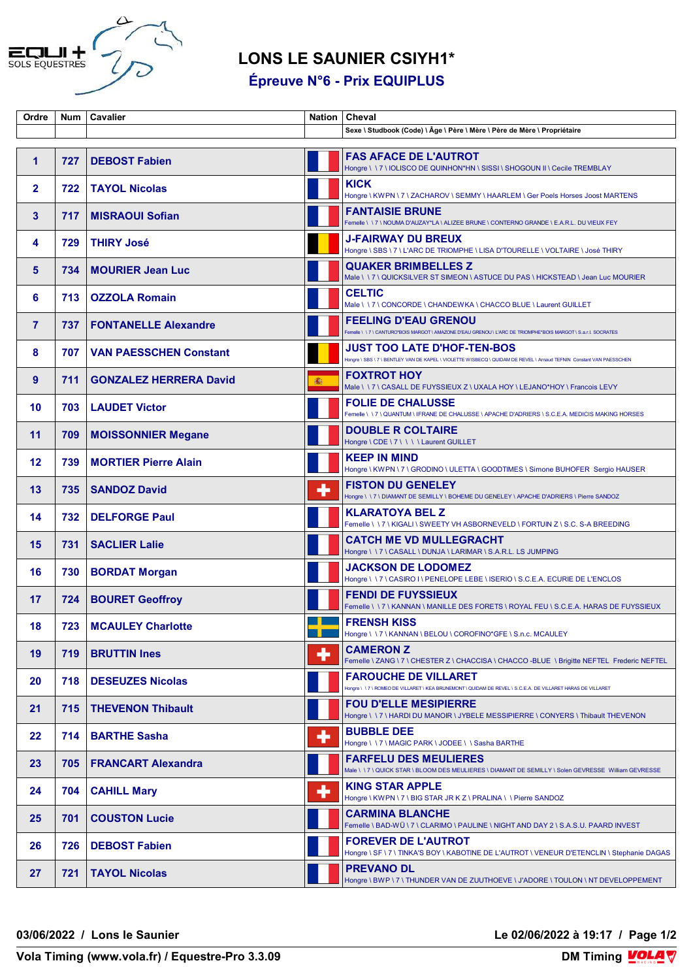

## **LONS LE SAUNIER CSIYH1\***

**Épreuve N°6 - Prix EQUIPLUS**

| Ordre          | <b>Num</b> | <b>Cavalier</b>               | Nation | Cheval                                                                                                                                             |
|----------------|------------|-------------------------------|--------|----------------------------------------------------------------------------------------------------------------------------------------------------|
|                |            |                               |        | Sexe \ Studbook (Code) \ Âge \ Père \ Mère \ Père de Mère \ Propriétaire                                                                           |
|                |            |                               |        |                                                                                                                                                    |
| 1              | 727        | <b>DEBOST Fabien</b>          |        | <b>FAS AFACE DE L'AUTROT</b><br>Hongre \ \ 7 \ IOLISCO DE QUINHON*HN \ SISSI \ SHOGOUN II \ Cecile TREMBLAY                                        |
| $\mathbf{2}$   | 722        | <b>TAYOL Nicolas</b>          |        | <b>KICK</b><br>Hongre \ KWPN \ 7 \ ZACHAROV \ SEMMY \ HAARLEM \ Ger Poels Horses Joost MARTENS                                                     |
| 3              | 717        | <b>MISRAOUI Sofian</b>        |        | <b>FANTAISIE BRUNE</b><br>Femelle \ \ 7 \ NOUMA D'AUZAY*LA \ ALIZEE BRUNE \ CONTERNO GRANDE \ E.A.R.L. DU VIEUX FEY                                |
| 4              | 729        | <b>THIRY José</b>             |        | <b>J-FAIRWAY DU BREUX</b><br>Hongre \ SBS \ 7 \ L'ARC DE TRIOMPHE \ LISA D'TOURELLE \ VOLTAIRE \ José THIRY                                        |
| 5              | 734        | <b>MOURIER Jean Luc</b>       |        | <b>QUAKER BRIMBELLES Z</b><br>Male \\7\QUICKSILVER ST SIMEON \ASTUCE DU PAS \HICKSTEAD \ Jean Luc MOURIER                                          |
| 6              | 713        | <b>OZZOLA Romain</b>          |        | <b>CELTIC</b><br>Male \\7\CONCORDE\CHANDEWKA\CHACCO BLUE\Laurent GUILLET                                                                           |
| $\overline{7}$ | 737        | <b>FONTANELLE Alexandre</b>   |        | <b>FEELING D'EAU GRENOU</b><br>Femelle \\7\CANTURO*BOIS MARGOT\AMAZONE D'EAU GRENOU\L'ARC DE TRIOMPHE*BOIS MARGOT\S.a.r.l. SOCRATES                |
| 8              | 707        | <b>VAN PAESSCHEN Constant</b> |        | JUST TOO LATE D'HOF-TEN-BOS<br>Hongre \ SBS \ 7 \ BENTLEY VAN DE KAPEL \ VIOLETTE WISBECQ \ QUIDAM DE REVEL \ Arnaud TEFNIN Constant VAN PAESSCHEN |
| 9              | 711        | <b>GONZALEZ HERRERA David</b> | 灩      | <b>FOXTROT HOY</b><br>Male \\7\CASALL DE FUYSSIEUX Z\UXALA HOY\LEJANO*HOY\Francois LEVY                                                            |
| 10             | 703        | <b>LAUDET Victor</b>          |        | <b>FOLIE DE CHALUSSE</b><br>Femelle \\7\QUANTUM\IFRANE DE CHALUSSE\APACHE D'ADRIERS\S.C.E.A. MEDICIS MAKING HORSES                                 |
| 11             | 709        | <b>MOISSONNIER Megane</b>     |        | <b>DOUBLE R COLTAIRE</b><br>Hongre \ CDE \ 7 \ \ \ \ Laurent GUILLET                                                                               |
| $12 \,$        | 739        | <b>MORTIER Pierre Alain</b>   |        | <b>KEEP IN MIND</b><br>Hongre \ KWPN \ 7 \ GRODINO \ ULETTA \ GOODTIMES \ Simone BUHOFER Sergio HAUSER                                             |
| 13             | 735        | <b>SANDOZ David</b>           | ٠      | <b>FISTON DU GENELEY</b><br>Hongre \ \ 7 \ DIAMANT DE SEMILLY \ BOHEME DU GENELEY \ APACHE D'ADRIERS \ Pierre SANDOZ                               |
| 14             | 732        | <b>DELFORGE Paul</b>          |        | <b>KLARATOYA BEL Z</b><br>Femelle \\7\KIGALI\SWEETYVH ASBORNEVELD\FORTUIN Z\S.C. S-A BREEDING                                                      |
| 15             | 731        | <b>SACLIER Lalie</b>          |        | <b>CATCH ME VD MULLEGRACHT</b><br>Hongre \\7\CASALL\DUNJA\LARIMAR\S.A.R.L. LS JUMPING                                                              |
| 16             | 730        | <b>BORDAT Morgan</b>          |        | <b>JACKSON DE LODOMEZ</b><br>Hongre \\7\CASIRO I\PENELOPE LEBE \ISERIO \ S.C.E.A. ECURIE DE L'ENCLOS                                               |
| 17             | 724        | <b>BOURET Geoffroy</b>        |        | <b>FENDI DE FUYSSIEUX</b><br>Femelle \ \ 7 \ KANNAN \ MANILLE DES FORETS \ ROYAL FEU \ S.C.E.A. HARAS DE FUYSSIEUX                                 |
| 18             | 723        | <b>MCAULEY Charlotte</b>      |        | <b>FRENSH KISS</b><br> Hongre \        \        7 \        KANNAN \        BELOU \ COROFINO*GFE \        S.n.c. MCAULEY                            |
| 19             | 719        | <b>BRUTTIN Ines</b>           | ╇      | <b>CAMERON Z</b><br>Femelle \ ZANG \ 7 \ CHESTER Z \ CHACCISA \ CHACCO -BLUE \ Brigitte NEFTEL Frederic NEFTEL                                     |
| 20             | 718        | <b>DESEUZES Nicolas</b>       |        | <b>FAROUCHE DE VILLARET</b><br>Hongre \\7\ROMEO DE VILLARET \KEA BRUNEMONT \ QUIDAM DE REVEL \ S.C.E.A. DE VILLARET HARAS DE VILLARET              |
| 21             | 715        | <b>THEVENON Thibault</b>      |        | <b>FOU D'ELLE MESIPIERRE</b><br>Hongre \\7\HARDI DU MANOIR\JYBELE MESSIPIERRE\CONYERS\Thibault THEVENON                                            |
| 22             | 714        | <b>BARTHE Sasha</b>           | ٠      | <b>BUBBLE DEE</b><br>Hongre \\7\MAGIC PARK\JODEE\\Sasha BARTHE                                                                                     |
| 23             | 705        | <b>FRANCART Alexandra</b>     |        | <b>FARFELU DES MEULIERES</b><br>Male \\7\QUICK STAR\BLOOM DES MEULIERES\DIAMANT DE SEMILLY\Solen GEVRESSE_William GEVRESSE                         |
| 24             | 704        | <b>CAHILL Mary</b>            | ╇      | <b>KING STAR APPLE</b><br>Hongre \ KWPN \ 7 \ BIG STAR JR K Z \ PRALINA \ \ Pierre SANDOZ                                                          |
| 25             | 701        | <b>COUSTON Lucie</b>          |        | <b>CARMINA BLANCHE</b><br>Femelle \BAD-WÜ\7\CLARIMO\PAULINE\NIGHT AND DAY 2\S.A.S.U. PAARD INVEST                                                  |
| 26             | 726        | <b>DEBOST Fabien</b>          |        | <b>FOREVER DE L'AUTROT</b><br>Hongre \ SF \ 7 \ TINKA'S BOY \ KABOTINE DE L'AUTROT \ VENEUR D'ETENCLIN \ Stephanie DAGAS                           |
| 27             | 721        | <b>TAYOL Nicolas</b>          |        | <b>PREVANO DL</b><br>Hongre \ BWP \ 7 \ THUNDER VAN DE ZUUTHOEVE \ J'ADORE \ TOULON \ NT DEVELOPPEMENT                                             |

**03/06/2022 / Lons le Saunier Le 02/06/2022 à 19:17 / Page 1/2**